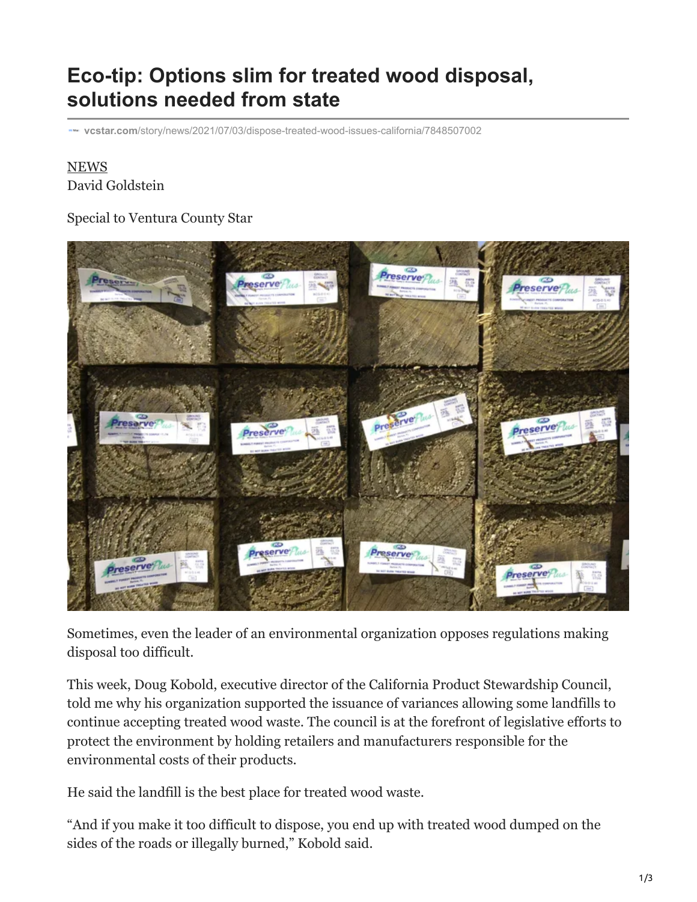## **Eco-tip: Options slim for treated wood disposal, solutions needed from state**

**vcstar.com**[/story/news/2021/07/03/dispose-treated-wood-issues-california/7848507002](https://www.vcstar.com/story/news/2021/07/03/dispose-treated-wood-issues-california/7848507002/)

## [NEWS](https://www.vcstar.com/news/) David Goldstein

## Special to Ventura County Star



Sometimes, even the leader of an environmental organization opposes regulations making disposal too difficult.

This week, Doug Kobold, executive director of the California Product Stewardship Council, told me why his organization supported the issuance of variances allowing some landfills to continue accepting treated wood waste. The council is at the forefront of legislative efforts to protect the environment by holding retailers and manufacturers responsible for the environmental costs of their products.

He said the landfill is the best place for treated wood waste.

"And if you make it too difficult to dispose, you end up with treated wood dumped on the sides of the roads or illegally burned," Kobold said.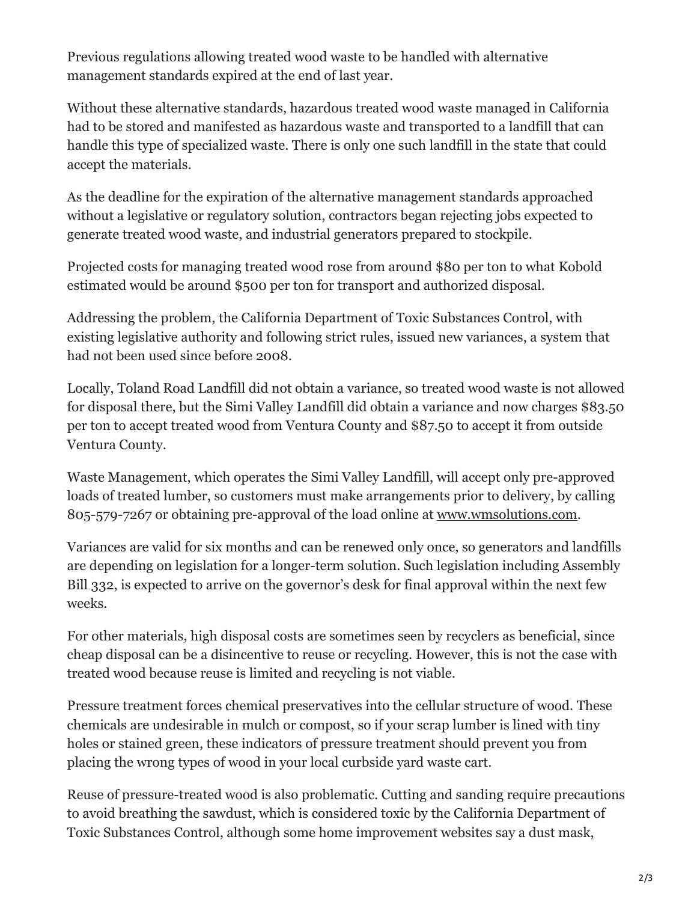Previous regulations allowing treated wood waste to be handled with alternative management standards expired at the end of last year.

Without these alternative standards, hazardous treated wood waste managed in California had to be stored and manifested as hazardous waste and transported to a landfill that can handle this type of specialized waste. There is only one such landfill in the state that could accept the materials.

As the deadline for the expiration of the alternative management standards approached without a legislative or regulatory solution, contractors began rejecting jobs expected to generate treated wood waste, and industrial generators prepared to stockpile.

Projected costs for managing treated wood rose from around \$80 per ton to what Kobold estimated would be around \$500 per ton for transport and authorized disposal.

Addressing the problem, the California Department of Toxic Substances Control, with existing legislative authority and following strict rules, issued new variances, a system that had not been used since before 2008.

Locally, Toland Road Landfill did not obtain a variance, so treated wood waste is not allowed for disposal there, but the Simi Valley Landfill did obtain a variance and now charges \$83.50 per ton to accept treated wood from Ventura County and \$87.50 to accept it from outside Ventura County.

Waste Management, which operates the Simi Valley Landfill, will accept only pre-approved loads of treated lumber, so customers must make arrangements prior to delivery, by calling 805-579-7267 or obtaining pre-approval of the load online at [www.wmsolutions.com](https://www.wmsolutions.com/).

Variances are valid for six months and can be renewed only once, so generators and landfills are depending on legislation for a longer-term solution. Such legislation including Assembly Bill 332, is expected to arrive on the governor's desk for final approval within the next few weeks.

For other materials, high disposal costs are sometimes seen by recyclers as beneficial, since cheap disposal can be a disincentive to reuse or recycling. However, this is not the case with treated wood because reuse is limited and recycling is not viable.

Pressure treatment forces chemical preservatives into the cellular structure of wood. These chemicals are undesirable in mulch or compost, so if your scrap lumber is lined with tiny holes or stained green, these indicators of pressure treatment should prevent you from placing the wrong types of wood in your local curbside yard waste cart.

Reuse of pressure-treated wood is also problematic. Cutting and sanding require precautions to avoid breathing the sawdust, which is considered toxic by the California Department of Toxic Substances Control, although some home improvement websites say a dust mask,